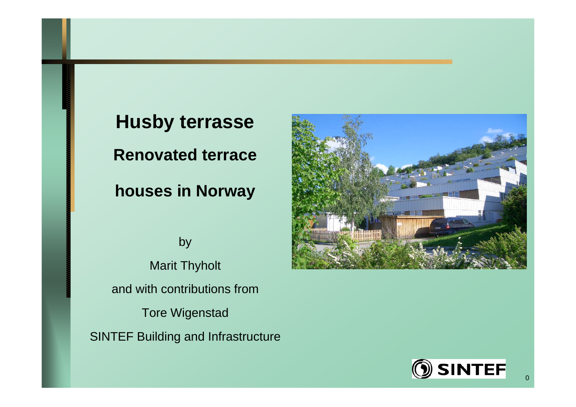**Husby terrasse Renovated terrace**

**houses in Norway**

by Marit Thyholt and with contributions from Tore Wigenstad SINTEF Building and Infrastructure



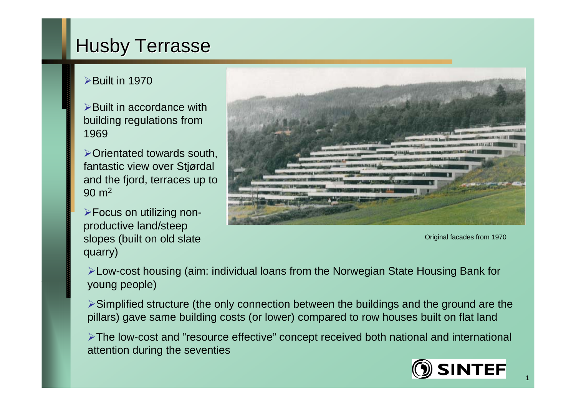# **Husby Terrasse**

#### $\blacktriangleright$ Built in 1970

 $\triangleright$  Built in accordance with building regulations from 1969

 $\triangleright$  Orientated towards south, fantastic view over Stjørdal and the fjord, terraces up to 90 m<sup>2</sup>

Focus on utilizing nonproductive land/steep slopes (built on old slate quarry)



Original facades from 1970

Low-cost housing (aim: individual loans from the Norwegian State Housing Bank for young people)

Simplified structure (the only connection between the buildings and the ground are the pillars) gave same building costs (or lower) compared to row houses built on flat land

The low-cost and "resource effective" concept received both national and international attention during the seventies



1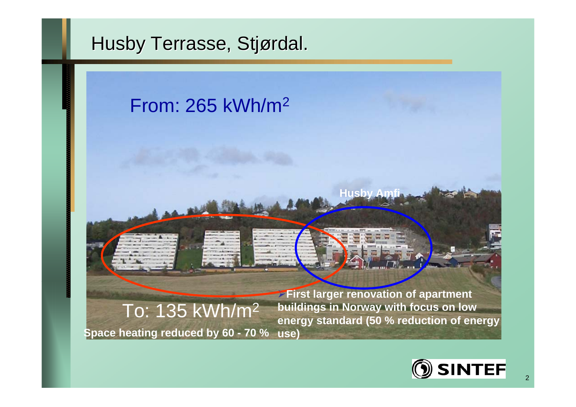# Husby Terrasse, Stjørdal.

# From: 265 kWh/m2 **Husby Amfi**

**use) Space heating reduced by 60 - 70 %**To: 135 kWh/m2

**First larger renovation of apartment buildings in Norway with focus on low energy standard (50 % reduction of energy** 

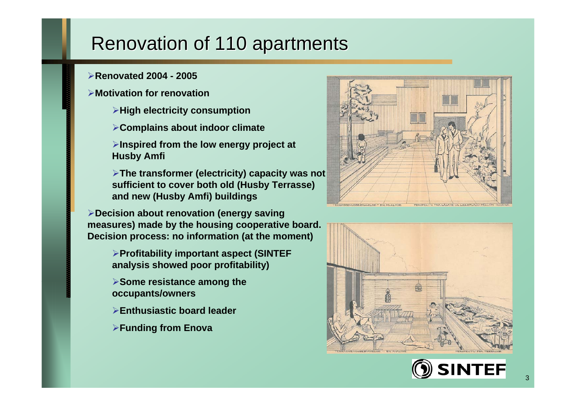# Renovation of 110 apartments

- **Renovated 2004 - 2005**
- **Motivation for renovation**
	- **High electricity consumption**
	- **Complains about indoor climate**
	- **Inspired from the low energy project at Husby Amfi**
	- **The transformer (electricity) capacity was not sufficient to cover both old (Husby Terrasse) and new (Husby Amfi) buildings**

**Decision about renovation (energy saving measures) made by the housing cooperative board. Decision process: no information (at the moment)**

- **Profitability important aspect (SINTEF analysis showed poor profitability)**
- **Some resistance among the occupants/owners**
- **Enthusiastic board leader**
- **Funding from Enova**





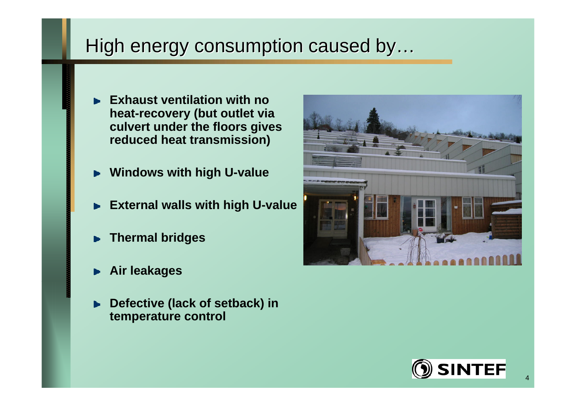# High energy consumption caused by…

- **Exhaust ventilation with no heat-recovery (but outlet via culvert under the floors gives reduced heat transmission)**
- **Windows with high U-value**
- **External walls with high U-value**  $\mathbf{b}$
- **Thermal bridges**
- **Air leakages**
- **Defective (lack of setback) in temperature control**



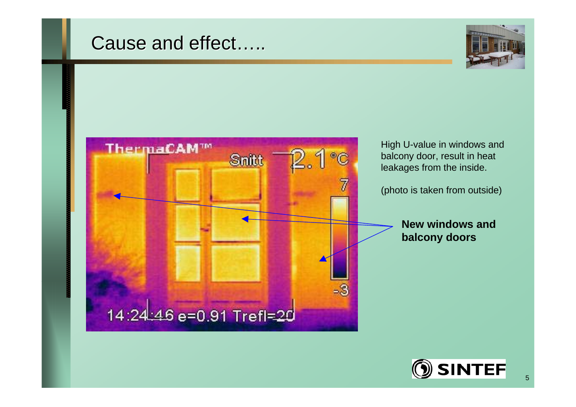## Cause and effect…..





High U-value in windows and balcony door, result in heat leakages from the inside.

(photo is taken from outside)

**New windows and balcony doors**

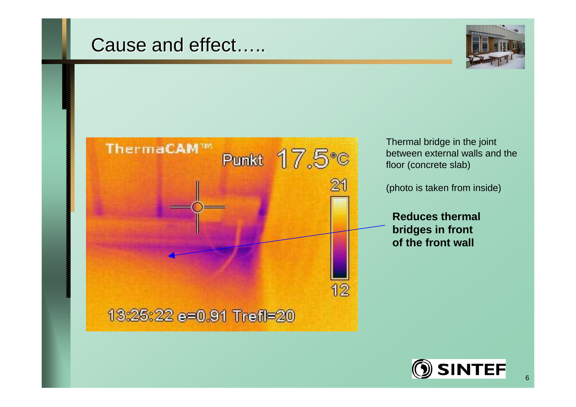## Cause and effect…..





Thermal bridge in the joint between external walls and the floor (concrete slab)

(photo is taken from inside)

**Reduces thermal bridges in front of the front wall**

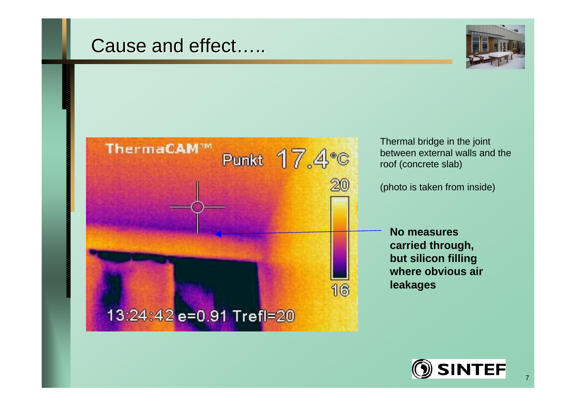## Cause and effect…..





Thermal bridge in the joint between external walls and the roof (concrete slab)

(photo is taken from inside)

**No measures carried through, but silicon filling where obvious air leakages** 

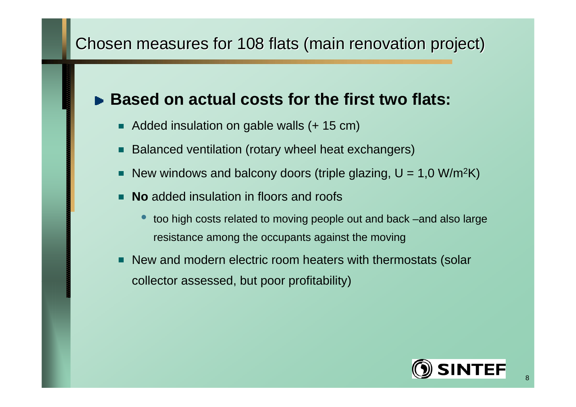#### Chosen measures for 108 flats (main renovation project)

#### **Based on actual costs for the first two flats:**

- Added insulation on gable walls (+ 15 cm)
- Balanced ventilation (rotary wheel heat exchangers)  $\blacksquare$
- New windows and balcony doors (triple glazing, U = 1,0 W/m²K)  $\blacksquare$
- **No** added insulation in floors and roofs П
	- $\bullet$  too high costs related to moving people out and back –and also large resistance among the occupants against the moving
- New and modern electric room heaters with thermostats (solar П collector assessed, but poor profitability)

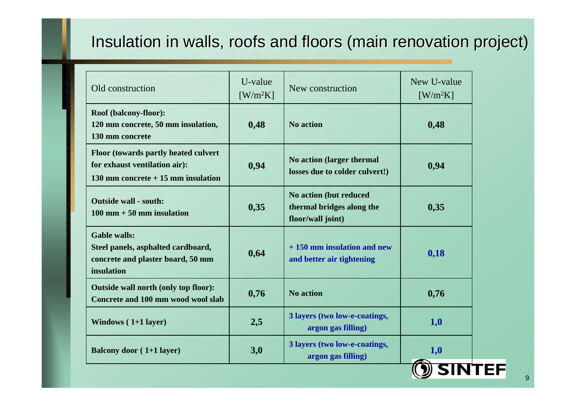#### Insulation in walls, roofs and floors (main renovation project)

| Old construction                                                                                             | U-value<br>$\left[\text{W/m}^2\text{K}\right]$ | New construction                                                         | New U-value<br>$[W/m^2K]$ |
|--------------------------------------------------------------------------------------------------------------|------------------------------------------------|--------------------------------------------------------------------------|---------------------------|
| Roof (balcony-floor):<br>120 mm concrete, 50 mm insulation,<br>130 mm concrete                               | 0,48                                           | <b>No action</b>                                                         | 0,48                      |
| Floor (towards partly heated culvert<br>for exhaust ventilation air):<br>130 mm concrete $+15$ mm insulation | 0,94                                           | No action (larger thermal<br>losses due to colder culvert!)              | 0,94                      |
| <b>Outside wall - south:</b><br>$100 \text{ mm} + 50 \text{ mm}$ insulation                                  | 0,35                                           | No action (but reduced<br>thermal bridges along the<br>floor/wall joint) | 0,35                      |
| <b>Gable walls:</b><br>Steel panels, asphalted cardboard,<br>concrete and plaster board, 50 mm<br>insulation | 0,64                                           | $+150$ mm insulation and new<br>and better air tightening                | 0,18                      |
| Outside wall north (only top floor):<br>Concrete and 100 mm wood wool slab                                   | 0,76                                           | <b>No action</b>                                                         | 0,76                      |
| Windows $(1+1$ layer)                                                                                        | 2,5                                            | 3 layers (two low-e-coatings,<br>argon gas filling)                      | 1,0                       |
| <b>Balcony door (1+1 layer)</b>                                                                              | 3,0                                            | 3 layers (two low-e-coatings,<br>argon gas filling)                      | 1,0                       |
|                                                                                                              |                                                |                                                                          | <b>SINTEF</b>             |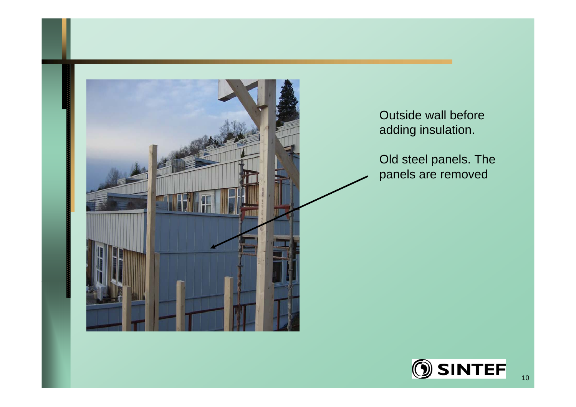

Outside wall before adding insulation.

Old steel panels. The panels are removed

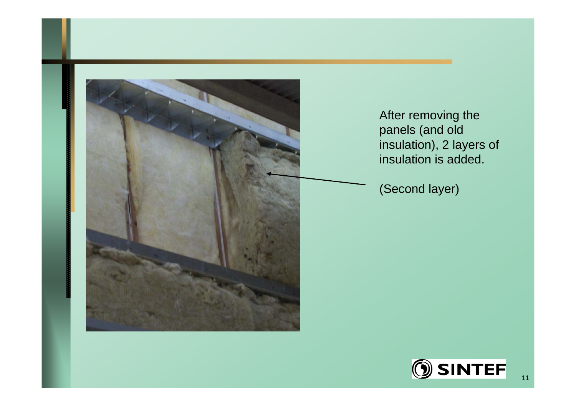

After removing the panels (and old insulation), 2 layers of insulation is added.

(Second layer)

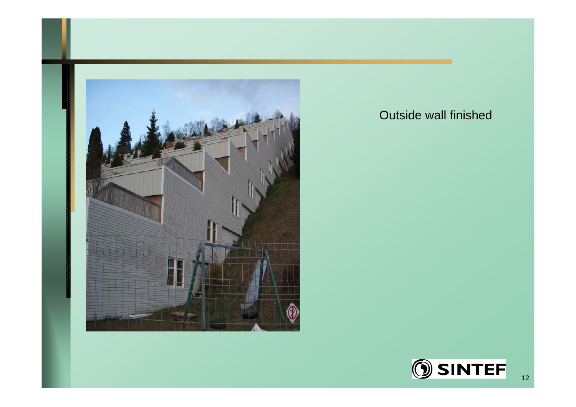

#### Outside wall finished

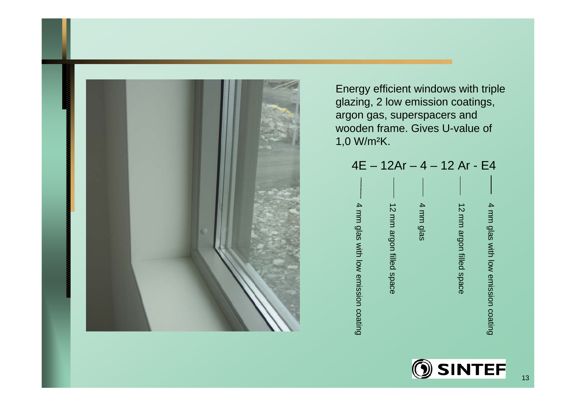

Energy efficient windows with triple glazing, 2 low emission coatings, argon gas, superspacers and wooden frame. Gives U-value of 1,0 W/m²K.



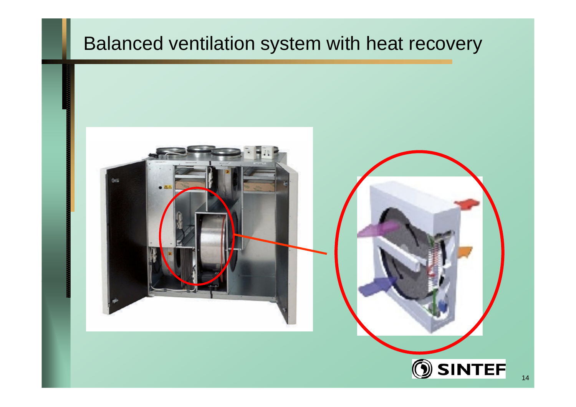# Balanced ventilation system with heat recovery